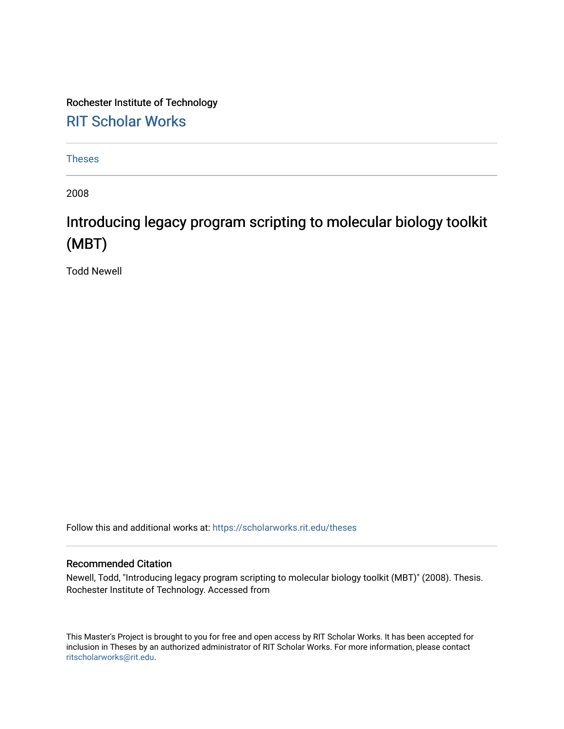Rochester Institute of Technology [RIT Scholar Works](https://scholarworks.rit.edu/)

[Theses](https://scholarworks.rit.edu/theses) 

2008

## Introducing legacy program scripting to molecular biology toolkit (MBT)

Todd Newell

Follow this and additional works at: [https://scholarworks.rit.edu/theses](https://scholarworks.rit.edu/theses?utm_source=scholarworks.rit.edu%2Ftheses%2F6936&utm_medium=PDF&utm_campaign=PDFCoverPages) 

### Recommended Citation

Newell, Todd, "Introducing legacy program scripting to molecular biology toolkit (MBT)" (2008). Thesis. Rochester Institute of Technology. Accessed from

This Master's Project is brought to you for free and open access by RIT Scholar Works. It has been accepted for inclusion in Theses by an authorized administrator of RIT Scholar Works. For more information, please contact [ritscholarworks@rit.edu](mailto:ritscholarworks@rit.edu).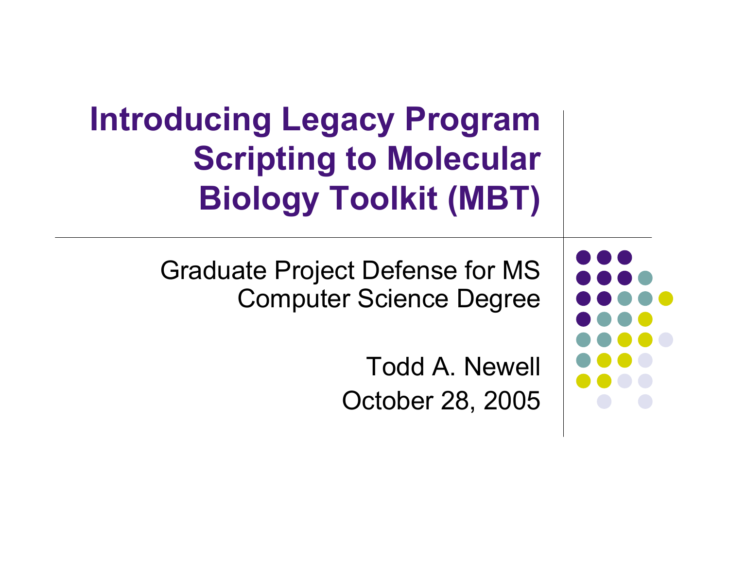## **Introducing Legacy Program Scripting to Molecular Biology Toolkit (MBT)**

Graduate Project Defense for MS Computer Science Degree

> Todd A. Newell October 28, 2005

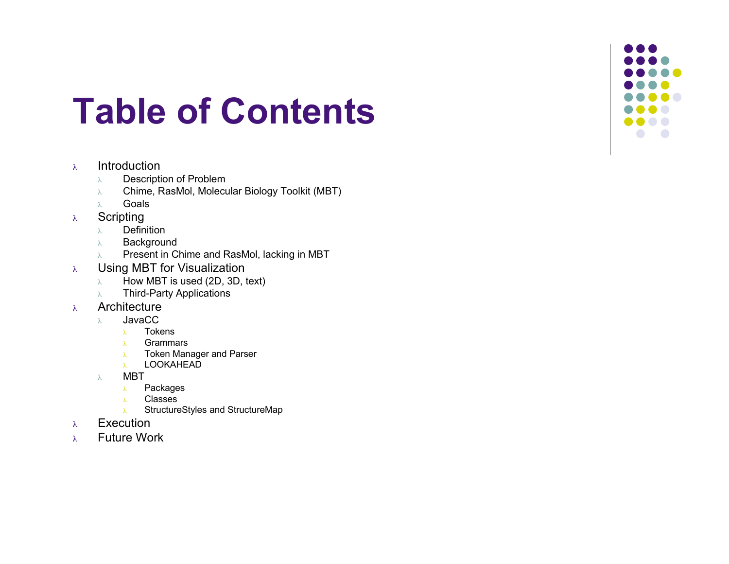## **Table of Contents**

### <sup>λ</sup> Introduction

- λ Description of Problem
- λ Chime, RasMol, Molecular Biology Toolkit (MBT)
- λ Goals
- <sup>λ</sup> Scripting
	- λ Definition
	- λ Background
	- λ Present in Chime and RasMol, lacking in MBT
- <sup>λ</sup> Using MBT for Visualization
	- $\lambda$  How MBT is used (2D, 3D, text)
	- λ Third-Party Applications
- <sup>λ</sup> Architecture
	- λ JavaCC
		- <sup>λ</sup> Tokens
		- <sup>λ</sup> Grammars
		- <sup>λ</sup> Token Manager and Parser
		- <sup>λ</sup> LOOKAHEAD
	- λ MBT
		- <sup>λ</sup> Packages
		- <sup>λ</sup> Classes
		- <sup>λ</sup> StructureStyles and StructureMap
- <sup>λ</sup> Execution
- <sup>λ</sup> Future Work

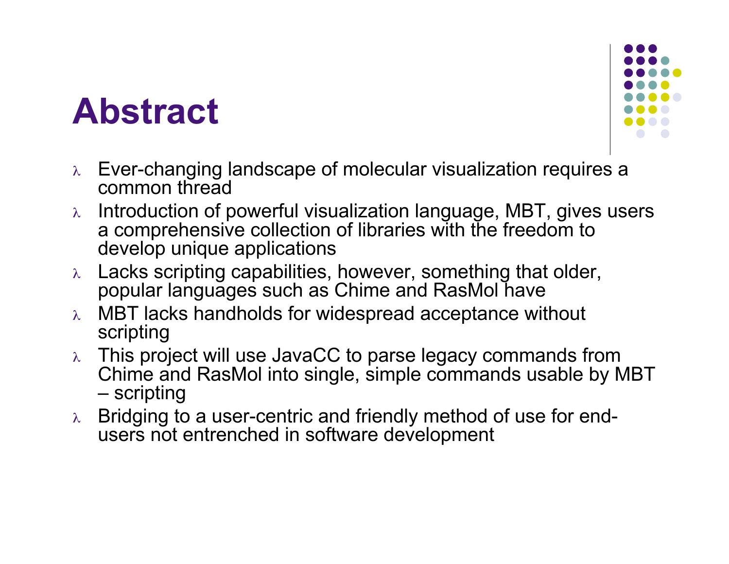## **Abstract**



- <sup>λ</sup> Ever-changing landscape of molecular visualization requires a common thread
- <sup>λ</sup> Introduction of powerful visualization language, MBT, gives users a comprehensive collection of libraries with the freedom to develop unique applications
- <sup>λ</sup> Lacks scripting capabilities, however, something that older, popular languages such as Chime and RasMol have
- MBT lacks handholds for widespread acceptance without scripting
- <sup>λ</sup> This project will use JavaCC to parse legacy commands from Chime and RasMol into single, simple commands usable by MBT – scripting
- <sup>λ</sup> Bridging to <sup>a</sup> user-centric and friendly method of use for end- users not entrenched in software development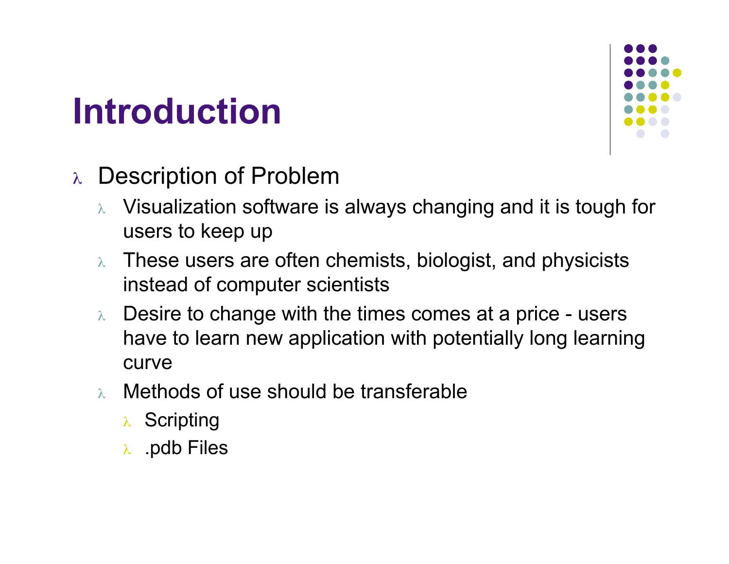# **Introduction**



- <sup>λ</sup> Description of Problem
	- <sup>λ</sup> Visualization software is always changing and it is tough for users to keep up
	- <sup>λ</sup> These users are often chemists, biologist, and physicists instead of computer scientists
	- $\lambda$  Desire to change with the times comes at a price users have to learn new application with potentially long learning curve
	- <sup>λ</sup> Methods of use should be transferable
		- <sup>λ</sup> Scripting
		- <sup>λ</sup> .pdb Files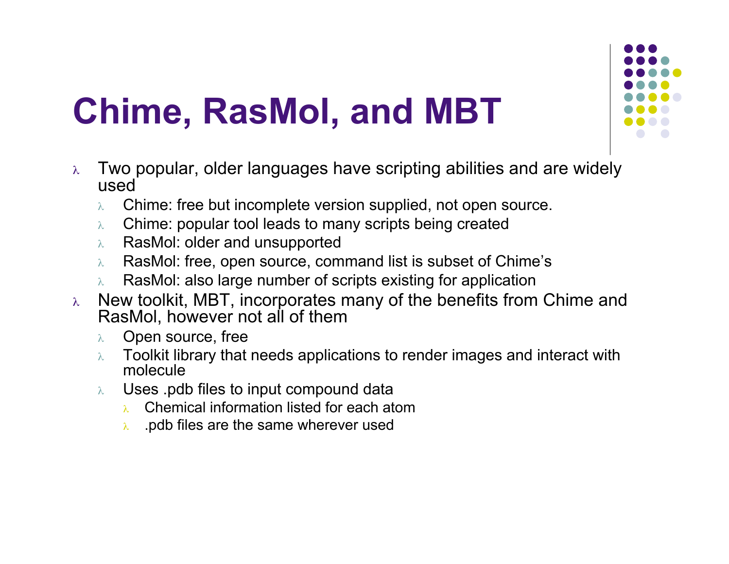# **Chime, RasMol, and MBT**

- $\lambda$  Two popular, older languages have scripting abilities and are widely used
	- $\lambda$  Chime: free but incomplete version supplied, not open source.
	- <sup>λ</sup> Chime: popular tool leads to many scripts being created
	- <sup>λ</sup> RasMol: older and unsupported
	- $\lambda$  RasMol: free, open source, command list is subset of Chime's
	- $\lambda$  RasMol: also large number of scripts existing for application
- $\lambda$  New toolkit, MBT, incorporates many of the benefits from Chime and RasMol, however not all of them
	- <sup>λ</sup> Open source, free
	- $\lambda$  Toolkit library that needs applications to render images and interact with molecule
	- <sup>λ</sup> Uses .pdb files to input compound data
		- <sup>λ</sup> Chemical information listed for each atom
		- $\lambda$  . pdb files are the same wherever used

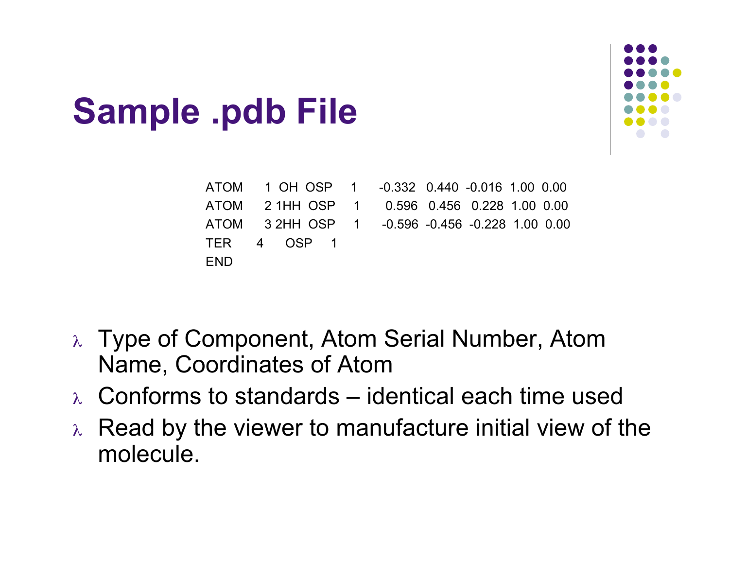# **Sample .pdb File**

|     | ATOM 1 OH OSP 1 -0.332 0.440 -0.016 1.00 0.00   |  |  |  |
|-----|-------------------------------------------------|--|--|--|
|     | ATOM 2 1HH OSP 1 0.596 0.456 0.228 1.00 0.00    |  |  |  |
|     | ATOM 3 2HH OSP 1 -0.596 -0.456 -0.228 1.00 0.00 |  |  |  |
|     | TER 4 OSP 1                                     |  |  |  |
| END |                                                 |  |  |  |

- <sup>λ</sup> Type of Component, Atom Serial Number, Atom Name, Coordinates of Atom
- $\lambda$  Conforms to standards identical each time used
- $\lambda$  Read by the viewer to manufacture initial view of the molecule.

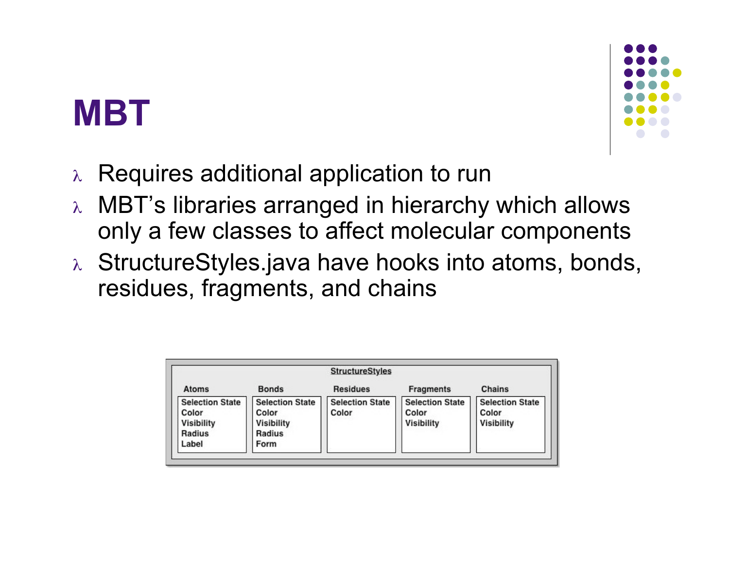## **MBT**



- <sup>λ</sup> Requires additional application to run
- <sup>λ</sup> MBT's libraries arranged in hierarchy which allows only a few classes to affect molecular components
- <sup>λ</sup> StructureStyles.java have hooks into atoms, bonds, residues, fragments, and chains

| <b>StructureStyles</b>                                                  |                                                                        |                                 |                                                      |                                                      |  |  |  |  |  |  |
|-------------------------------------------------------------------------|------------------------------------------------------------------------|---------------------------------|------------------------------------------------------|------------------------------------------------------|--|--|--|--|--|--|
| Atoms                                                                   | <b>Bonds</b>                                                           | <b>Residues</b>                 | <b>Fragments</b>                                     | Chains                                               |  |  |  |  |  |  |
| <b>Selection State</b><br>Color<br><b>Visibility</b><br>Radius<br>Label | <b>Selection State</b><br>Color<br><b>Visibility</b><br>Radius<br>Form | <b>Selection State</b><br>Color | <b>Selection State</b><br>Color<br><b>Visibility</b> | <b>Selection State</b><br>Color<br><b>Visibility</b> |  |  |  |  |  |  |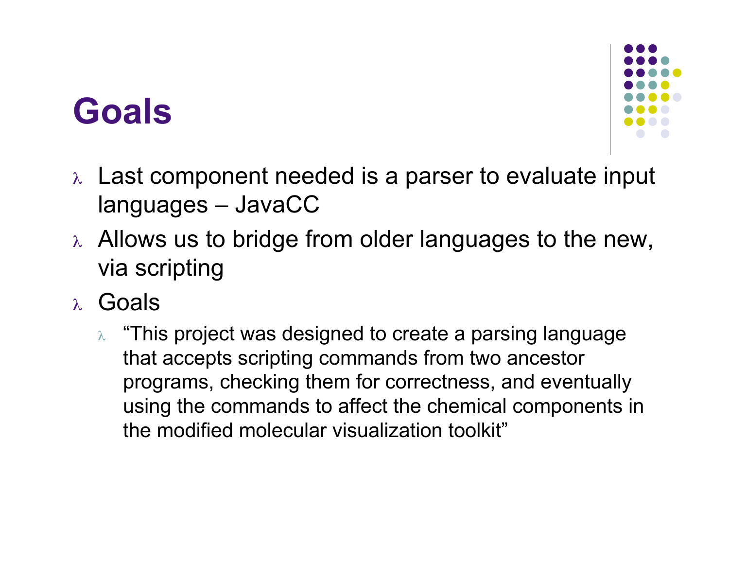## **Goals**



- <sup>λ</sup> Last component needed is a parser to evaluate input languages – JavaCC
- $\lambda$  Allows us to bridge from older languages to the new, via scripting
- <sup>λ</sup> Goals
	- $\lambda$  "This project was designed to create a parsing language that accepts scripting commands from two ancestor programs, checking them for correctness, and eventually using the commands to affect the chemical components in the modified molecular visualization toolkit"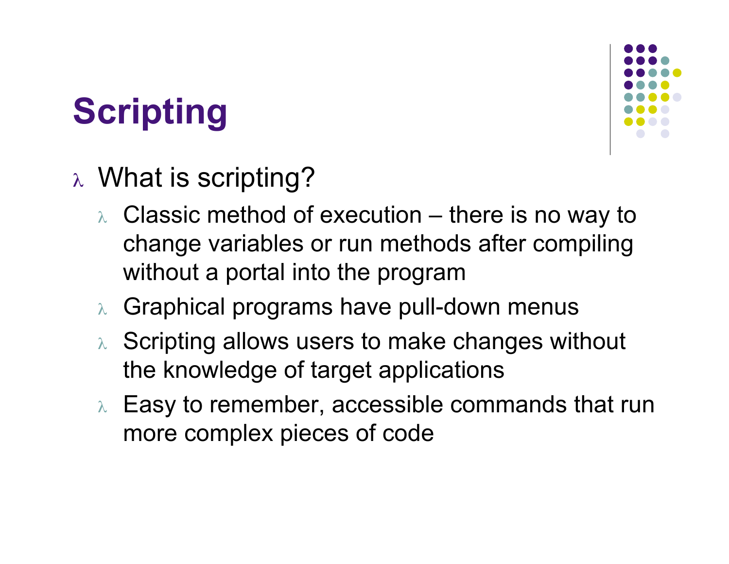# **Scripting**



- <sup>λ</sup> What is scripting?
	- $\lambda$  Classic method of execution there is no way to change variables or run methods after compiling without a portal into the program
	- <sup>λ</sup> Graphical programs have pull-down menus
	- <sup>λ</sup> Scripting allows users to make changes without the knowledge of target applications
	- $\lambda$  Easy to remember, accessible commands that run more complex pieces of code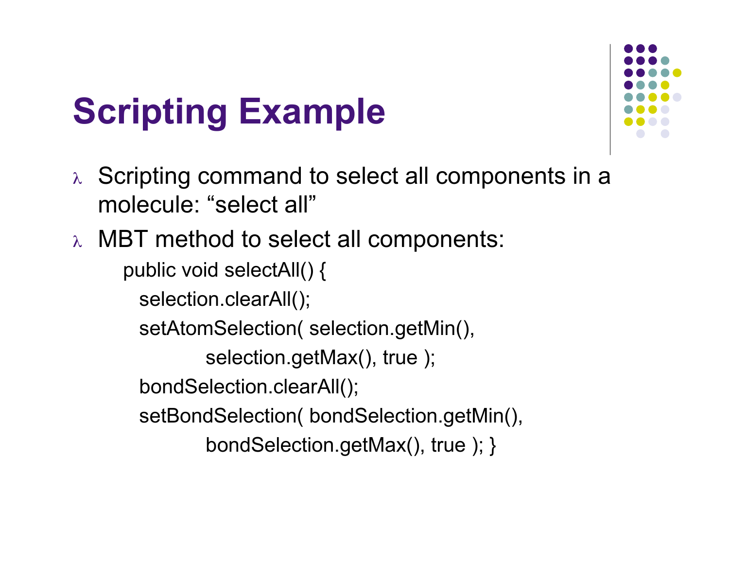# **Scripting Example**

- <sup>λ</sup> Scripting command to select all components in a molecule: "select all"
- <sup>λ</sup> MBT method to select all components:

public void selectAll() {

selection.clearAll();

setAtomSelection( selection.getMin(),

selection.getMax(), true );

bondSelection.clearAll();

setBondSelection( bondSelection.getMin(),

bondSelection.getMax(), true ); }

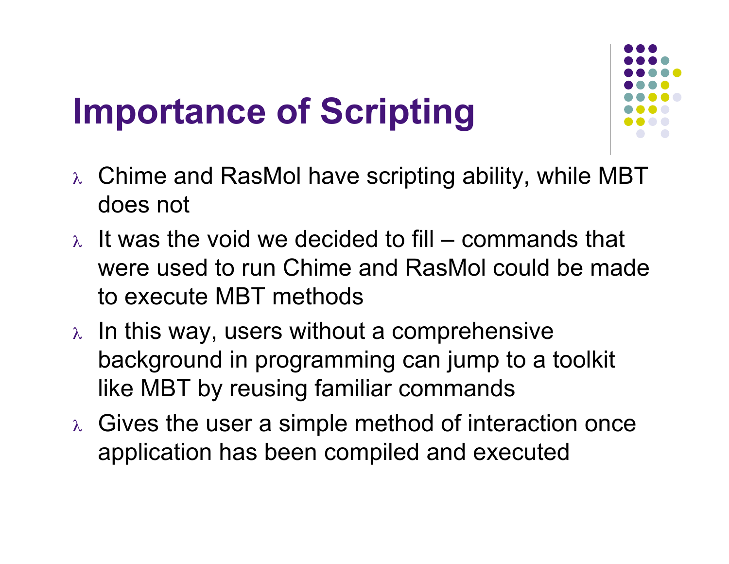# **Importance of Scripting**



- <sup>λ</sup> Chime and RasMol have scripting ability, while MBT does not
- $\lambda$  It was the void we decided to fill commands that were used to run Chime and RasMol could be made to execute MBT methods
- $\lambda$  In this way, users without a comprehensive background in programming can jump to a toolkit like MBT by reusing familiar commands
- $\lambda$  Gives the user a simple method of interaction once application has been compiled and executed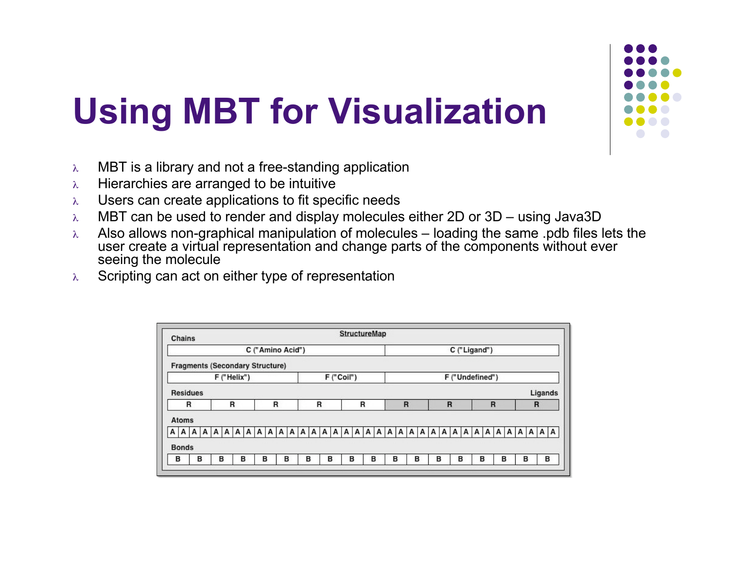# **Using MBT for Visualization**

- λ MBT is a library and not a free-standing application
- $\lambda$  Hierarchies are arranged to be intuitive
- λ Users can create applications to fit specific needs
- λ MBT can be used to render and display molecules either 2D or 3D using Java3D
- $λ$  Also allows non-graphical manipulation of molecules loading the same .pdb files lets the user create a virtual representation and change parts of the components without ever seeing the molecule
- $\lambda$  Scripting can act on either type of representation

| Chains                                 | <b>StructureMap</b> |   |                  |   |   |   |   |                              |              |              |   |   |        |   |         |   |   |                 |   |   |   |   |   |   |         |   |
|----------------------------------------|---------------------|---|------------------|---|---|---|---|------------------------------|--------------|--------------|---|---|--------|---|---------|---|---|-----------------|---|---|---|---|---|---|---------|---|
|                                        |                     |   | C ("Amino Acid") |   |   |   |   |                              |              |              |   |   |        |   |         |   |   | C ("Ligand")    |   |   |   |   |   |   |         |   |
| <b>Fragments (Secondary Structure)</b> |                     |   |                  |   |   |   |   |                              |              |              |   |   |        |   |         |   |   |                 |   |   |   |   |   |   |         |   |
|                                        | F ("Helix")         |   |                  |   |   |   |   |                              |              | F ("Coil")   |   |   |        |   |         |   |   | F ("Undefined") |   |   |   |   |   |   |         |   |
| <b>Residues</b>                        |                     |   |                  |   |   |   |   |                              |              |              |   |   |        |   |         |   |   |                 |   |   |   |   |   |   | Ligands |   |
| R                                      |                     | R |                  | R |   |   |   | R                            |              |              | R |   |        | R |         |   | R |                 |   |   | R |   |   |   | R       |   |
| <b>Atoms</b>                           |                     |   |                  |   |   |   |   |                              |              |              |   |   |        |   |         |   |   |                 |   |   |   |   |   |   |         |   |
| A<br>А<br>A<br>A                       | A<br>А              | A | A<br>А           | А | A | A | A | $\mathsf{A}$<br>$\mathsf{A}$ | $\mathsf{A}$ | $\mathsf{A}$ |   |   | AAAAAA |   | $A$ $A$ | A | A | A<br>A          | A | A | А | A | А | А | $A$ $A$ |   |
| <b>Bonds</b>                           |                     |   |                  |   |   |   |   |                              |              |              |   |   |        |   |         |   |   |                 |   |   |   |   |   |   |         |   |
| в<br>в                                 | B                   | в |                  | B | в |   | в |                              | в            | в            |   | в | в      |   | в       | в |   | в               |   | в |   | в |   | в |         | в |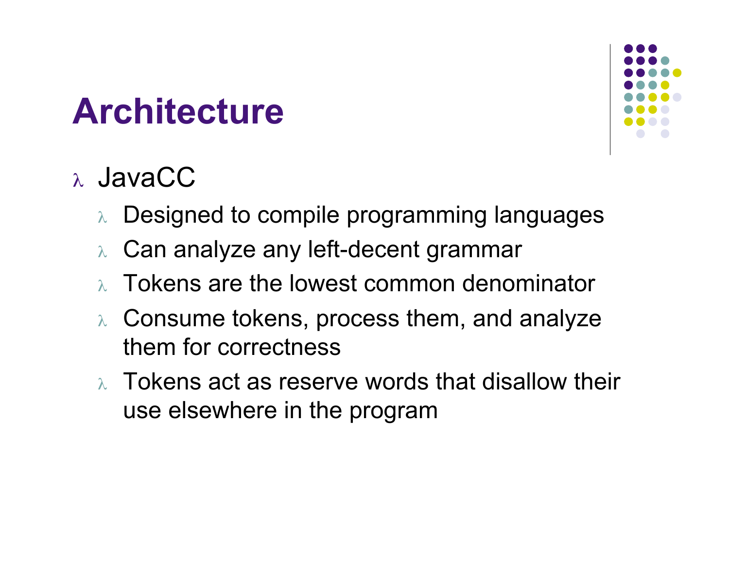## **Architecture**

- Designed to compile programming languages
- <sup>λ</sup> Can analyze any left-decent grammar
- <sup>λ</sup> Tokens are the lowest common denominator
- <sup>λ</sup> Consume tokens, process them, and analyze them for correctness
- $\lambda$  Tokens act as reserve words that disallow their use elsewhere in the program

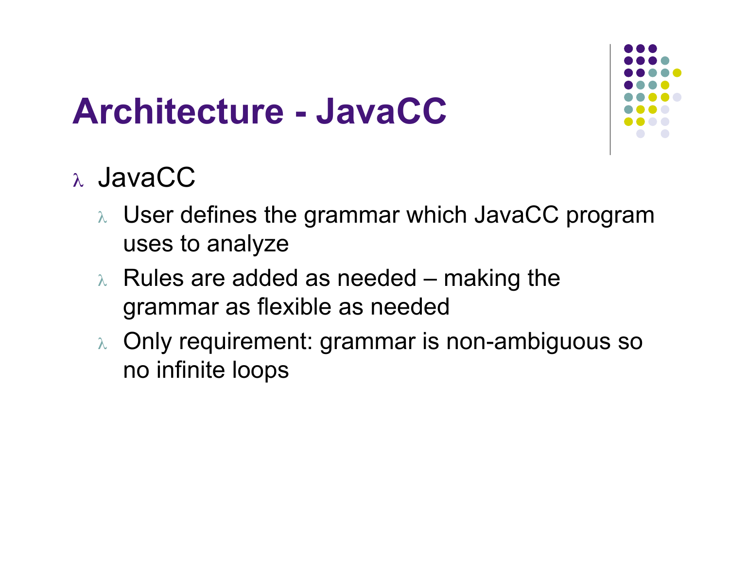## **Architecture - JavaCC**

- <sup>λ</sup> User defines the grammar which JavaCC program uses to analyze
- $\lambda$  Rules are added as needed making the grammar as flexible as needed
- <sup>λ</sup> Only requirement: grammar is non-ambiguous so no infinite loops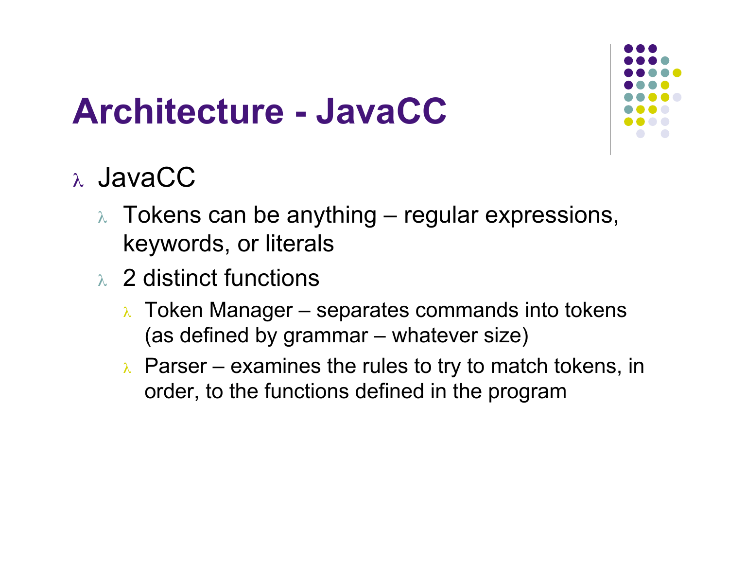## **Architecture - JavaCC**

- $\lambda$  Tokens can be anything regular expressions, keywords, or literals
- <sup>λ</sup> 2 distinct functions
	- $\lambda$  Token Manager separates commands into tokens (as defined by grammar – whatever size)
	- $\lambda$  Parser examines the rules to try to match tokens, in order, to the functions defined in the program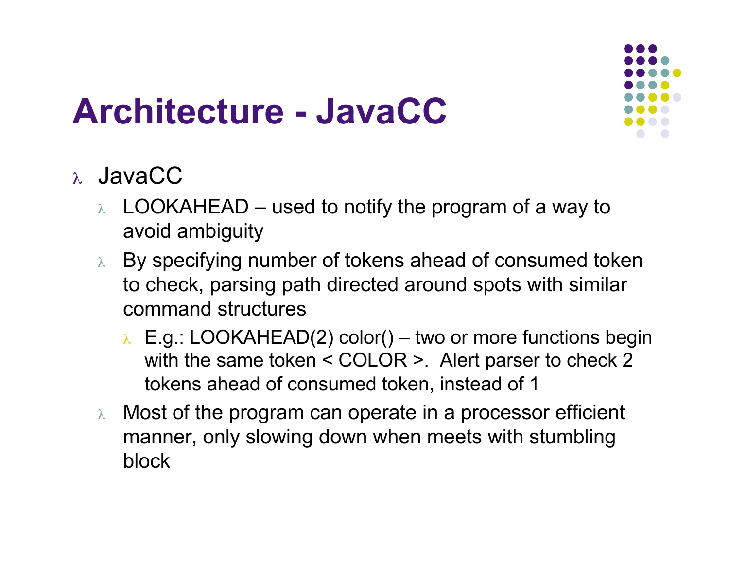## **Architecture - JavaCC**

- $\lambda$  LOOKAHEAD used to notify the program of a way to avoid ambiguity
- <sup>λ</sup> By specifying number of tokens ahead of consumed token to check, parsing path directed around spots with similar command structures
	- $\lambda$  E.g.: LOOKAHEAD(2) color() two or more functions begin with the same token < COLOR >. Alert parser to check 2 tokens ahead of consumed token, instead of 1
- <sup>λ</sup> Most of the program can operate in a processor efficient manner, only slowing down when meets with stumbling block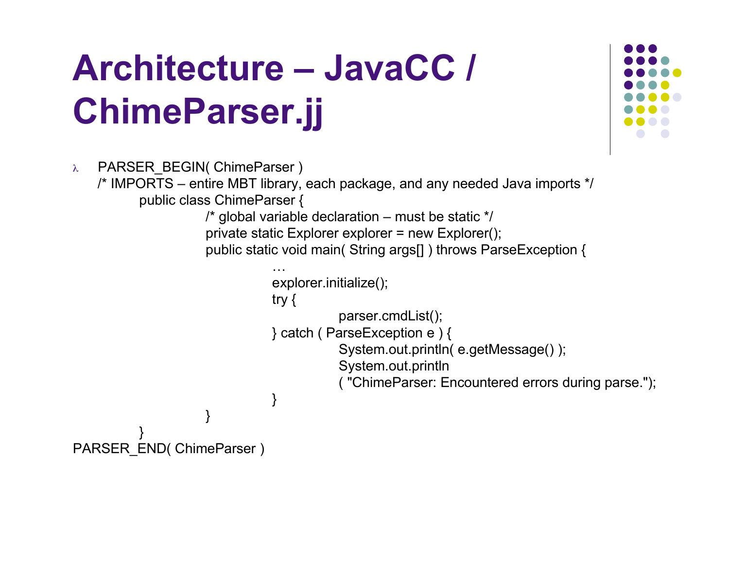# **Architecture – JavaCC / ChimeParser.jj**

```
λ PARSER_BEGIN( ChimeParser )
    /* IMPORTS – entire MBT library, each package, and any needed Java imports */
          public class ChimeParser {
                     /* global variable declaration – must be static */
                     private static Explorer explorer = new Explorer();
                     public static void main( String args[] ) throws ParseException {
                                …
                                explorer.initialize();
                                try {
                                           parser.cmdList();
                                } catch ( ParseException e ) {
                                           System.out.println( e.getMessage() );
                                           System.out.println
                                           ( "ChimeParser: Encountered errors during parse.");
                                }
                      }
           }
PARSER_END( ChimeParser )
```
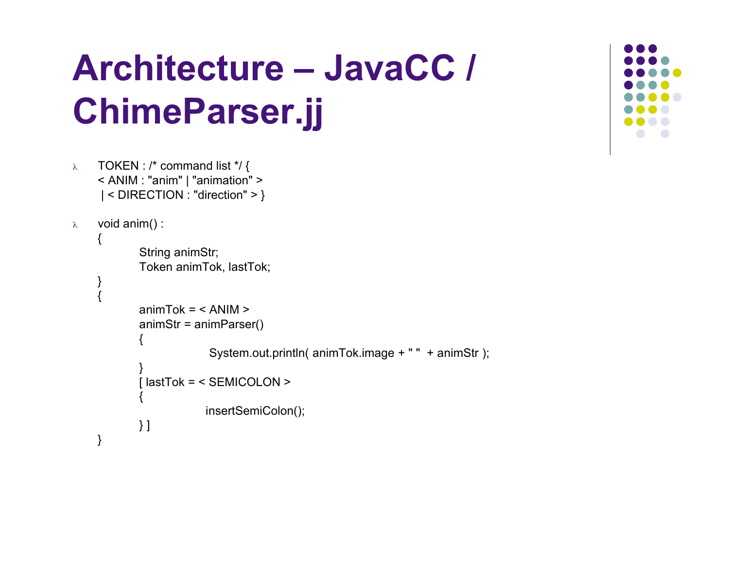# **Architecture – JavaCC / ChimeParser.jj**



<sup>λ</sup> TOKEN : /\* command list \*/ { < ANIM : "anim" | "animation" > | < DIRECTION : "direction" > }

```
λ void anim() :
```

```
{
       String animStr;
       Token animTok, lastTok;
}
{
       animTok = < ANIM >animStr = animParser()
        {
                    System.out.println( animTok.image + " " + animStr );
        }
       [ lastTok = < SEMICOLON >
        {
                   insertSemiColon();
       } ]
}
```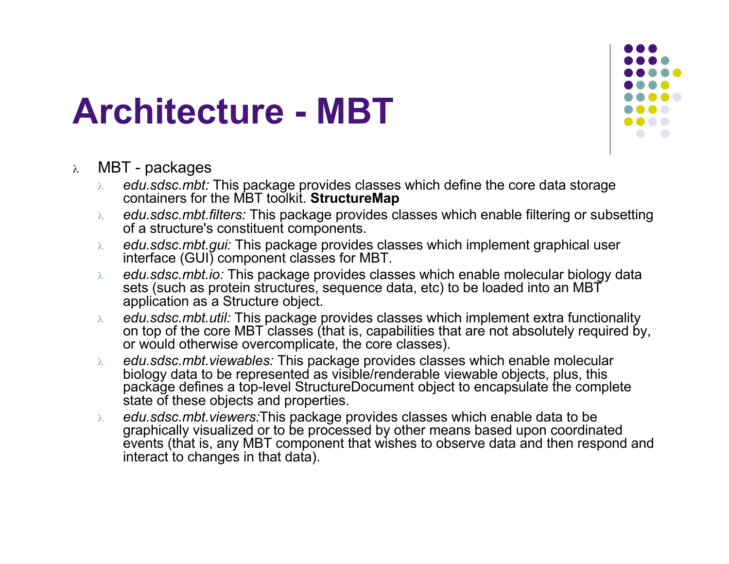## **Architecture - MBT**

### <sup>λ</sup> MBT - packages

- λ *edu.sdsc.mbt:* This package provides classes which define the core data storage containers for the MBT toolkit. **StructureMap**
- λ *edu.sdsc.mbt.filters:* This package provides classes which enable filtering or subsetting of a structure's constituent components.
- λ *edu.sdsc.mbt.gui:* This package provides classes which implement graphical user interface (GUI) component classes for MBT.
- λ *edu.sdsc.mbt.io:* This package provides classes which enable molecular biology data sets (such as protein structures, sequence data, etc) to be loaded into an MBT application as a Structure object.
- λ *edu.sdsc.mbt.util:* This package provides classes which implement extra functionality on top of the core MBT classes (that is, capabilities that are not absolutely required by, or would otherwise overcomplicate, the core classes).
- λ *edu.sdsc.mbt.viewables:* This package provides classes which enable molecular biology data to be represented as visible/renderable viewable objects, plus, this package defines a top-level StructureDocument object to encapsulate the complete state of these objects and properties.
- λ *edu.sdsc.mbt.viewers:*This package provides classes which enable data to be graphically visualized or to be processed by other means based upon coordinated events (that is, any MBT component that wishes to observe data and then respond and interact to changes in that data).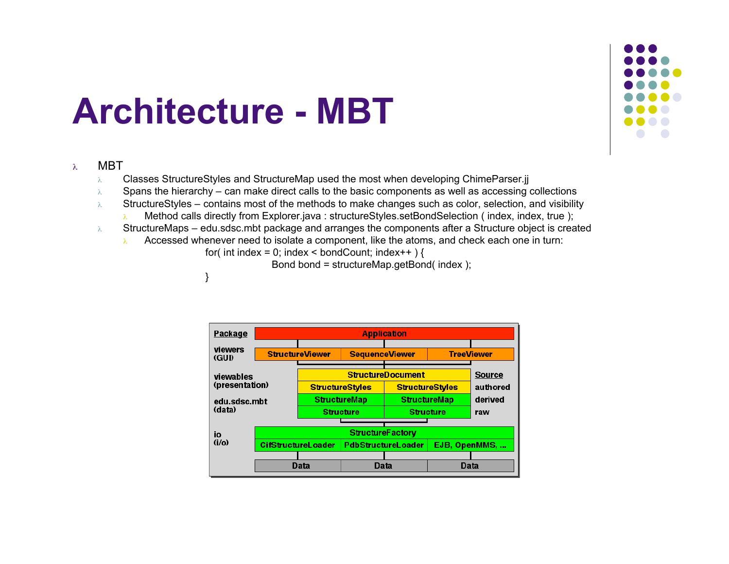## **Architecture - MBT**

}

### <sup>λ</sup> MBT

- λ Classes StructureStyles and StructureMap used the most when developing ChimeParser.jj
- $\lambda$  Spans the hierarchy can make direct calls to the basic components as well as accessing collections
- $\lambda$  StructureStyles contains most of the methods to make changes such as color, selection, and visibility
	- λ Method calls directly from Explorer.java : structureStyles.setBondSelection ( index, index, true );
- λ StructureMaps edu.sdsc.mbt package and arranges the components after a Structure object is created
	- Accessed whenever need to isolate a component, like the atoms, and check each one in turn:
		- for( int index = 0; index < bondCount; index + + ) {

Bond bond = structureMap.getBond( index );

| <b>Package</b>              |                           |                        |                          | <b>Application</b>        |      |                   |  |  |  |  |
|-----------------------------|---------------------------|------------------------|--------------------------|---------------------------|------|-------------------|--|--|--|--|
| viewers<br>(GUI)            |                           | <b>StructureViewer</b> | <b>SequenceViewer</b>    |                           |      | <b>TreeViewer</b> |  |  |  |  |
| viewables<br>(presentation) |                           |                        | <b>StructureDocument</b> |                           |      |                   |  |  |  |  |
|                             |                           |                        | <b>StructureStyles</b>   | <b>StructureStyles</b>    |      | authored          |  |  |  |  |
| edu.sdsc.mbt                |                           |                        | <b>StructureMap</b>      | <b>StructureMap</b>       |      | derived           |  |  |  |  |
| (data)                      |                           |                        | <b>Structure</b>         | <b>Structure</b>          |      | raw               |  |  |  |  |
|                             |                           |                        | <b>StructureFactory</b>  |                           |      |                   |  |  |  |  |
| io                          |                           |                        |                          |                           |      |                   |  |  |  |  |
| $(i/\alpha)$                | <b>CifStructureLoader</b> |                        |                          | <b>PdbStructureLoader</b> |      | EJB, OpenMMS,     |  |  |  |  |
|                             |                           |                        |                          |                           |      |                   |  |  |  |  |
|                             |                           | Data                   | Data                     |                           | Data |                   |  |  |  |  |

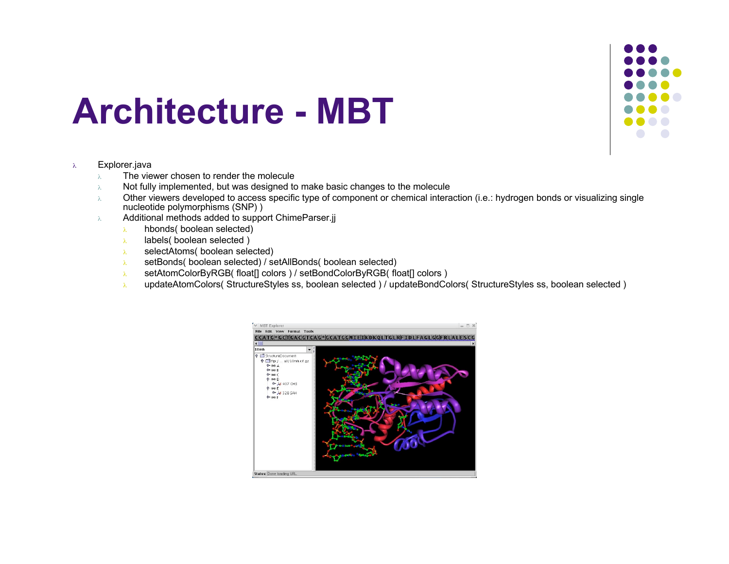

## **Architecture - MBT**

### <sup>λ</sup> Explorer.java

- $\lambda$  The viewer chosen to render the molecule
- $\lambda$  Not fully implemented, but was designed to make basic changes to the molecule
- <sup>λ</sup> Other viewers developed to access specific type of component or chemical interaction (i.e.: hydrogen bonds or visualizing single nucleotide polymorphisms (SNP) )
- <sup>λ</sup> Additional methods added to support ChimeParser.jj
	- <sup>λ</sup> hbonds( boolean selected)
	- <sup>λ</sup> labels( boolean selected )
	- <sup>λ</sup> selectAtoms( boolean selected)
	- <sup>λ</sup> setBonds( boolean selected) / setAllBonds( boolean selected)
	- <sup>λ</sup> setAtomColorByRGB( float[] colors ) / setBondColorByRGB( float[] colors )
	- <sup>λ</sup> updateAtomColors( StructureStyles ss, boolean selected ) / updateBondColors( StructureStyles ss, boolean selected )

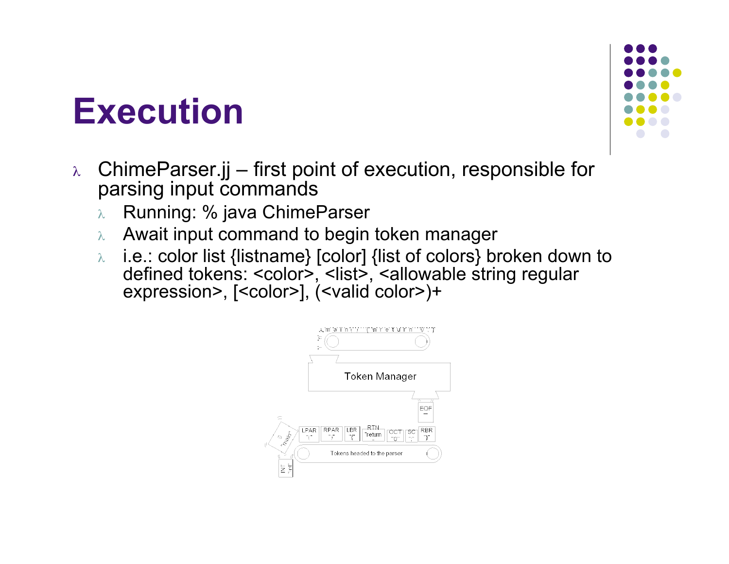## **Execution**

- <sup>λ</sup> ChimeParser.jj first point of execution, responsible for parsing input commands
	- <sup>λ</sup> Running: % java ChimeParser
	- $\lambda$  Await input command to begin token manager
	- <sup>λ</sup> i.e.: color list {listname} [color] {list of colors} broken down to defined tokens: <color>, <list>, <allowable string regular expression> , [<color>], (<valid color>)+



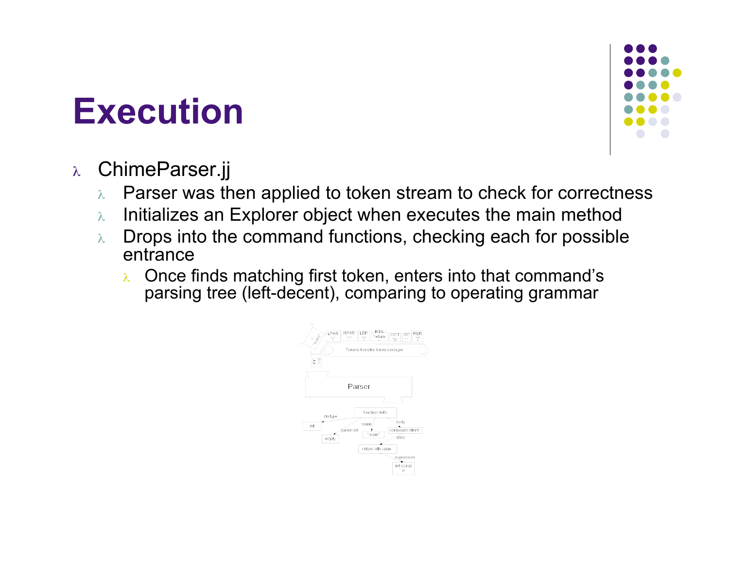## **Execution**



## <sup>λ</sup> ChimeParser.jj

- $\lambda$  Parser was then applied to token stream to check for correctness
- $\lambda$  Initializes an Explorer object when executes the main method
- $\lambda$  Drops into the command functions, checking each for possible entrance
	- <sup>λ</sup> Once finds matching first token, enters into that command's parsing tree (left-decent), comparing to operating grammar

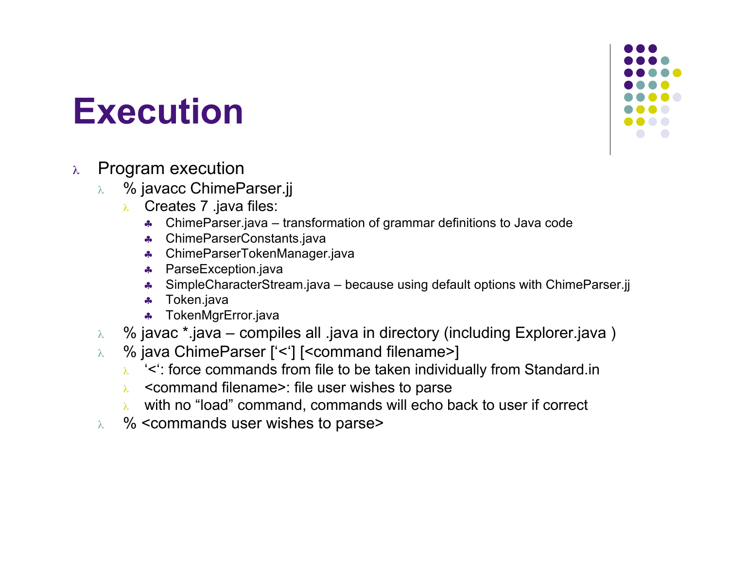

## **Execution**

## <sup>λ</sup> Program execution

- <sup>λ</sup> % javacc ChimeParser.jj
	- <sup>λ</sup> Creates 7 .java files:
		- ♣ ChimeParser.java transformation of grammar definitions to Java code
		- ♣ ChimeParserConstants.java
		- ♣ ChimeParserTokenManager.java
		- ♣ ParseException.java
		- ♣ SimpleCharacterStream.java because using default options with ChimeParser.jj
		- ♣ Token.java
		- ♣ TokenMgrError.java
- <sup>λ</sup> % javac \*.java compiles all .java in directory (including Explorer.java )
- <sup>λ</sup> % java ChimeParser ['<'] [<command filename>]
	- <sup>λ</sup> '<': force commands from file to be taken individually from Standard.in
	- <sup>λ</sup> <command filename>: file user wishes to parse
	- <sup>λ</sup> with no "load" command, commands will echo back to user if correct
- <sup>λ</sup> % <commands user wishes to parse>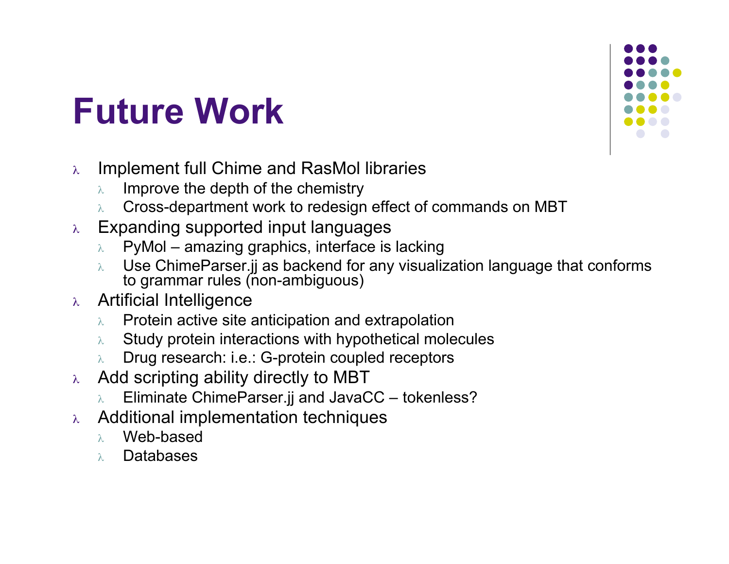## **Future Work**

- <sup>λ</sup> Implement full Chime and RasMol libraries
	- Improve the depth of the chemistry
	- <sup>λ</sup> Cross-department work to redesign effect of commands on MBT
- <sup>λ</sup> Expanding supported input languages
	- $\lambda$  PyMol amazing graphics, interface is lacking
	- $\lambda$  Use ChimeParser.jj as backend for any visualization language that conforms to grammar rules (non-ambiguous)
- <sup>λ</sup> Artificial Intelligence
	- $\lambda$  Protein active site anticipation and extrapolation
	- $\lambda$  Study protein interactions with hypothetical molecules
	- <sup>λ</sup> Drug research: i.e.: G-protein coupled receptors
- <sup>λ</sup> Add scripting ability directly to MBT
	- Eliminate ChimeParser.jj and JavaCC tokenless?
- <sup>λ</sup> Additional implementation techniques
	- <sup>λ</sup> Web-based
	- <sup>λ</sup> Databases